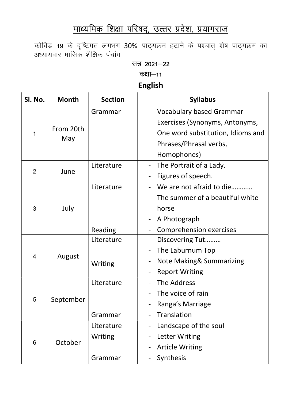## माध्यमिक शिक्षा परिषद्, उत्तर प्रदेश, प्रयागराज

कोविड–19 के दृष्टिगत लगभग 30% पाठ्यक्रम हटाने के पश्चात् शेष पाठ्यक्रम का अध्यायवार मासिक शैक्षिक पंचांग

सत्र 2021-22

कक्षा $-11$ 

English

| Sl. No. | <b>Month</b>                           | <b>Section</b> | <b>Syllabus</b>                   |
|---------|----------------------------------------|----------------|-----------------------------------|
| 1       | From 20th<br>May                       | Grammar        | <b>Vocabulary based Grammar</b>   |
|         |                                        |                | Exercises (Synonyms, Antonyms,    |
|         |                                        |                | One word substitution, Idioms and |
|         |                                        |                | Phrases/Phrasal verbs,            |
|         |                                        |                | Homophones)                       |
| 2       |                                        | Literature     | The Portrait of a Lady.           |
|         |                                        |                | Figures of speech.                |
| 3       | July                                   | Literature     | We are not afraid to die          |
|         |                                        |                | The summer of a beautiful white   |
|         |                                        |                | horse                             |
|         |                                        |                | A Photograph                      |
|         |                                        | Reading        | <b>Comprehension exercises</b>    |
| 4       | June<br>August<br>September<br>October | Literature     | Discovering Tut                   |
|         |                                        |                | The Laburnum Top                  |
|         |                                        | Writing        | Note Making& Summarizing          |
|         |                                        |                | <b>Report Writing</b>             |
|         |                                        | Literature     | The Address                       |
|         |                                        |                | The voice of rain                 |
| 5       |                                        |                | Ranga's Marriage                  |
|         |                                        | Grammar        | Translation                       |
|         |                                        | Literature     | Landscape of the soul             |
| 6       |                                        | Writing        | Letter Writing                    |
|         |                                        |                | <b>Article Writing</b>            |
|         |                                        | Grammar        | Synthesis                         |